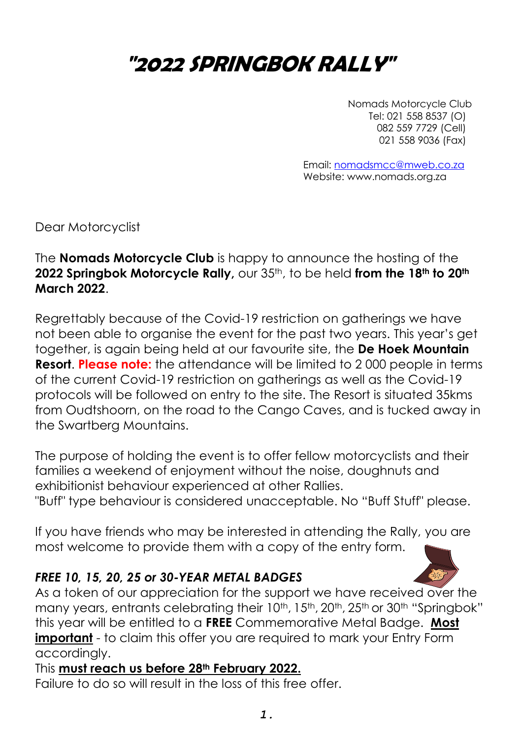# **"2022 SPRINGBOK RALLY"**

Nomads Motorcycle Club Tel: 021 558 8537 (O) 082 559 7729 (Cell) 021 558 9036 (Fax)

Email[: nomadsmcc@mweb.co.za](mailto:nomadsmcc@mweb.co.za) Website: www.nomads.org.za

Dear Motorcyclist

The **Nomads Motorcycle Club** is happy to announce the hosting of the **2022 Springbok Motorcycle Rally,** our 35th, to be held **from the 18th to 20th March 2022**.

Regrettably because of the Covid-19 restriction on gatherings we have not been able to organise the event for the past two years. This year's get together, is again being held at our favourite site, the **De Hoek Mountain Resort**. **Please note:** the attendance will be limited to 2 000 people in terms of the current Covid-19 restriction on gatherings as well as the Covid-19 protocols will be followed on entry to the site. The Resort is situated 35kms from Oudtshoorn, on the road to the Cango Caves, and is tucked away in the Swartberg Mountains.

The purpose of holding the event is to offer fellow motorcyclists and their families a weekend of enjoyment without the noise, doughnuts and exhibitionist behaviour experienced at other Rallies.

"Buff" type behaviour is considered unacceptable. No "Buff Stuff" please.

If you have friends who may be interested in attending the Rally, you are most welcome to provide them with a copy of the entry form.

#### *FREE 10, 15, 20, 25 or 30-YEAR METAL BADGES*

As a token of our appreciation for the support we have received over the many years, entrants celebrating their 10<sup>th</sup>, 15<sup>th</sup>, 20<sup>th</sup>, 25<sup>th</sup> or 30<sup>th</sup> "Springbok" this year will be entitled to a **FREE** Commemorative Metal Badge. **Most important** - to claim this offer you are required to mark your Entry Form accordingly.

This **must reach us before 28th February 2022.**

Failure to do so will result in the loss of this free offer.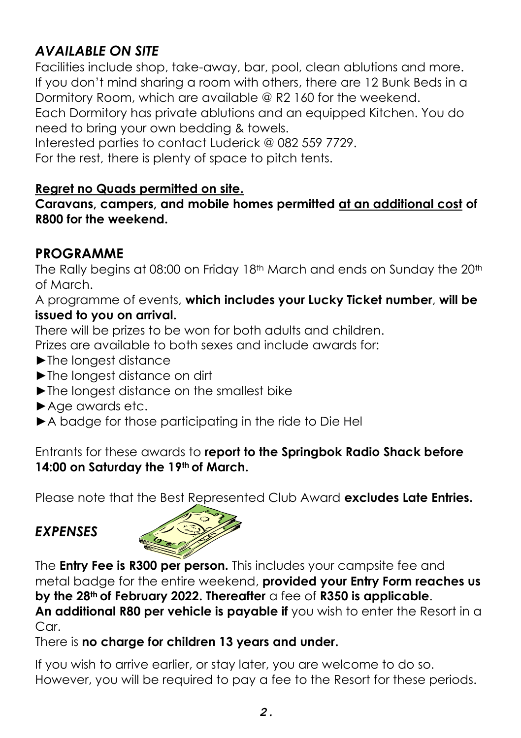# *AVAILABLE ON SITE*

Facilities include shop, take-away, bar, pool, clean ablutions and more. If you don't mind sharing a room with others, there are 12 Bunk Beds in a Dormitory Room, which are available @ R2 160 for the weekend. Each Dormitory has private ablutions and an equipped Kitchen. You do need to bring your own bedding & towels.

Interested parties to contact Luderick @ 082 559 7729.

For the rest, there is plenty of space to pitch tents.

#### **Regret no Quads permitted on site.**

**Caravans, campers, and mobile homes permitted at an additional cost of R800 for the weekend.**

## **PROGRAMME**

The Rally begins at 08:00 on Friday 18<sup>th</sup> March and ends on Sunday the 20<sup>th</sup> of March.

A programme of events, **which includes your Lucky Ticket number**, **will be issued to you on arrival.** 

There will be prizes to be won for both adults and children.

Prizes are available to both sexes and include awards for:

- ►The longest distance
- ►The longest distance on dirt
- ►The longest distance on the smallest bike
- ►Age awards etc.
- ►A badge for those participating in the ride to Die Hel

Entrants for these awards to **report to the Springbok Radio Shack before 14:00 on Saturday the 19th of March.**

Please note that the Best Represented Club Award **excludes Late Entries.**

# *EXPENSES*



The **Entry Fee is R300 per person.** This includes your campsite fee and metal badge for the entire weekend, **provided your Entry Form reaches us by the 28th of February 2022. Thereafter** a fee of **R350 is applicable**.

**An additional R80 per vehicle is payable if** you wish to enter the Resort in a Car

There is **no charge for children 13 years and under.**

If you wish to arrive earlier, or stay later, you are welcome to do so. However, you will be required to pay a fee to the Resort for these periods.